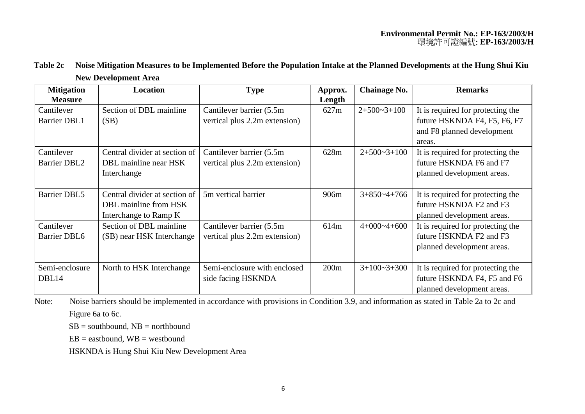| Table 2c Noise Mitigation Measures to be Implemented Before the Population Intake at the Planned Developments at the Hung Shui Kiu |
|------------------------------------------------------------------------------------------------------------------------------------|
| <b>New Development Area</b>                                                                                                        |

| <b>Mitigation</b>   | <b>Location</b>               | <b>Type</b>                   | Approx. | <b>Chainage No.</b> | <b>Remarks</b>                    |
|---------------------|-------------------------------|-------------------------------|---------|---------------------|-----------------------------------|
| <b>Measure</b>      |                               |                               | Length  |                     |                                   |
| Cantilever          | Section of DBL mainline       | Cantilever barrier (5.5m)     | 627m    | $2+500-3+100$       | It is required for protecting the |
| <b>Barrier DBL1</b> | (SB)                          | vertical plus 2.2m extension) |         |                     | future HSKNDA F4, F5, F6, F7      |
|                     |                               |                               |         |                     | and F8 planned development        |
|                     |                               |                               |         |                     | areas.                            |
| Cantilever          | Central divider at section of | Cantilever barrier (5.5m)     | 628m    | $2+500-3+100$       | It is required for protecting the |
| <b>Barrier DBL2</b> | DBL mainline near HSK         | vertical plus 2.2m extension) |         |                     | future HSKNDA F6 and F7           |
|                     | Interchange                   |                               |         |                     | planned development areas.        |
|                     |                               |                               |         |                     |                                   |
| <b>Barrier DBL5</b> | Central divider at section of | 5m vertical barrier           | 906m    | $3+850-4+766$       | It is required for protecting the |
|                     | DBL mainline from HSK         |                               |         |                     | future HSKNDA F2 and F3           |
|                     | Interchange to Ramp K         |                               |         |                     | planned development areas.        |
| Cantilever          | Section of DBL mainline       | Cantilever barrier (5.5m)     | 614m    | $4+000-4+600$       | It is required for protecting the |
| <b>Barrier DBL6</b> | (SB) near HSK Interchange     | vertical plus 2.2m extension) |         |                     | future HSKNDA F2 and F3           |
|                     |                               |                               |         |                     | planned development areas.        |
|                     |                               |                               |         |                     |                                   |
| Semi-enclosure      | North to HSK Interchange      | Semi-enclosure with enclosed  | 200m    | $3+100-3+300$       | It is required for protecting the |
| DBL14               |                               | side facing HSKNDA            |         |                     | future HSKNDA F4, F5 and F6       |
|                     |                               |                               |         |                     | planned development areas.        |

Note: Noise barriers should be implemented in accordance with provisions in Condition 3.9, and information as stated in Table 2a to 2c and Figure 6a to 6c.

 $SB =$  southbound,  $NB =$  northbound

 $EB = eastbound$ ,  $WB = westbound$ 

HSKNDA is Hung Shui Kiu New Development Area